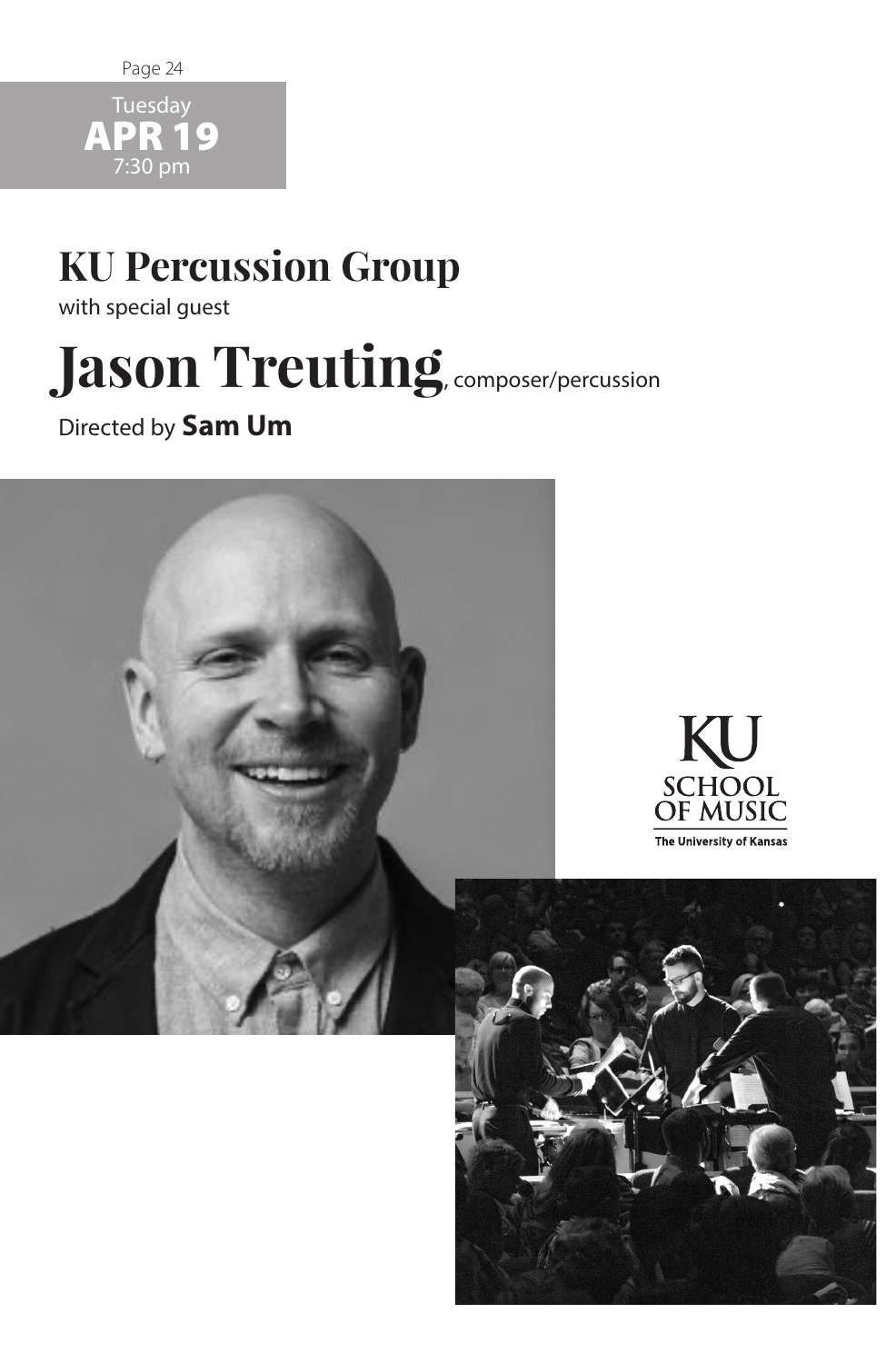

APR 19 7:30 pm

## **KU Percussion Group**

with special guest

# Jason Treuting, composer/percussion

Directed by **Sam Um**

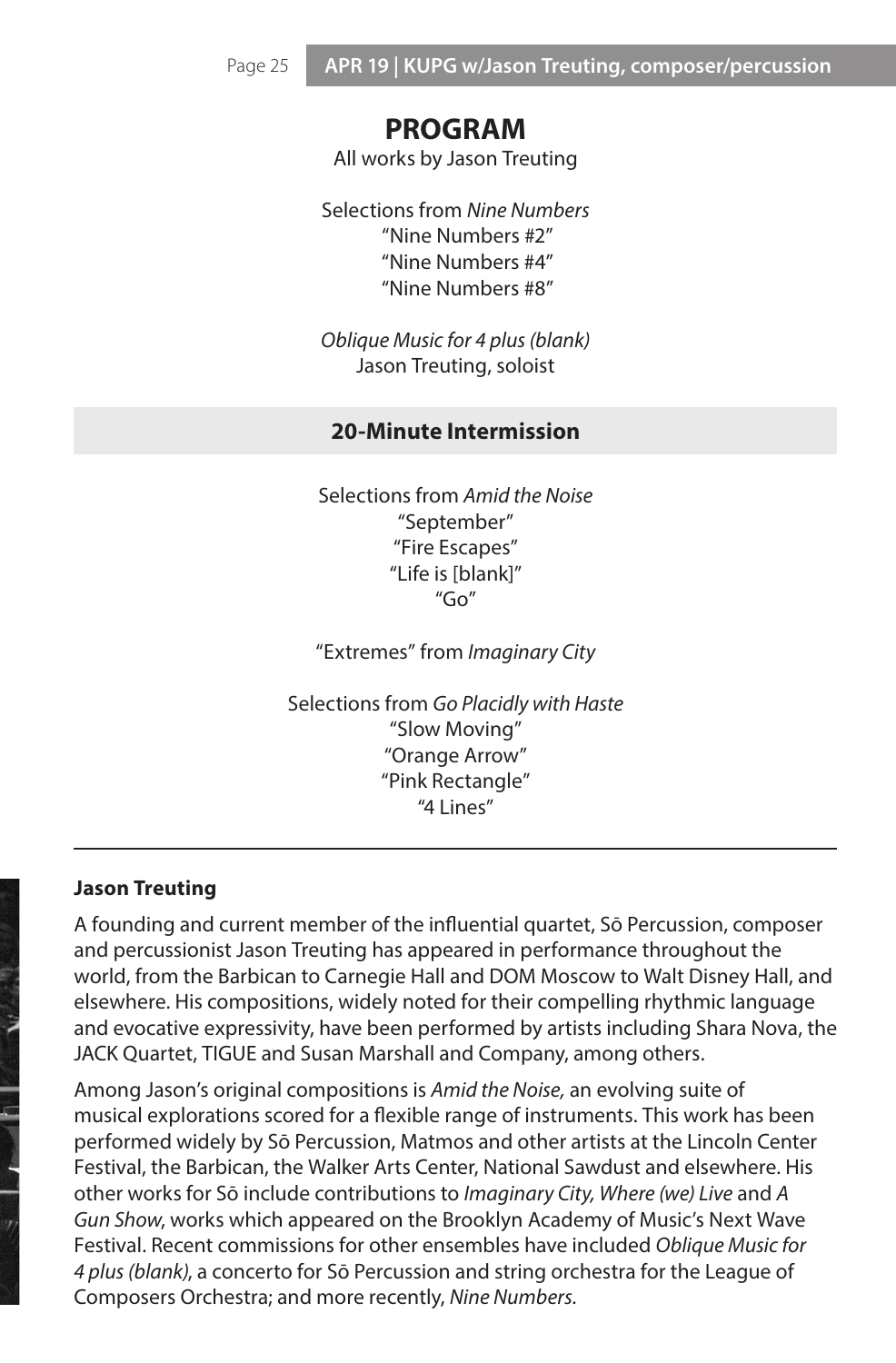### **PROGRAM**

All works by Jason Treuting

Selections from *Nine Numbers* "Nine Numbers #2" "Nine Numbers #4" "Nine Numbers #8"

*Oblique Music for 4 plus (blank)* Jason Treuting, soloist

#### **20-Minute Intermission**

Selections from *Amid the Noise*  "September" "Fire Escapes" "Life is [blank]"  $"Go"$ 

"Extremes" from *Imaginary City*

Selections from *Go Placidly with Haste*  "Slow Moving" "Orange Arrow" "Pink Rectangle" "4 Lines"

#### **Jason Treuting**

A founding and current member of the influential quartet, Sō Percussion, composer and percussionist Jason Treuting has appeared in performance throughout the world, from the Barbican to Carnegie Hall and DOM Moscow to Walt Disney Hall, and elsewhere. His compositions, widely noted for their compelling rhythmic language and evocative expressivity, have been performed by artists including Shara Nova, the JACK Quartet, TIGUE and Susan Marshall and Company, among others.

Among Jason's original compositions is *Amid the Noise,* an evolving suite of musical explorations scored for a flexible range of instruments. This work has been performed widely by Sō Percussion, Matmos and other artists at the Lincoln Center Festival, the Barbican, the Walker Arts Center, National Sawdust and elsewhere. His other works for Sō include contributions to *Imaginary City, Where (we) Live* and *A Gun Show*, works which appeared on the Brooklyn Academy of Music's Next Wave Festival. Recent commissions for other ensembles have included *Oblique Music for 4 plus (blank)*, a concerto for Sō Percussion and string orchestra for the League of Composers Orchestra; and more recently, *Nine Numbers.*